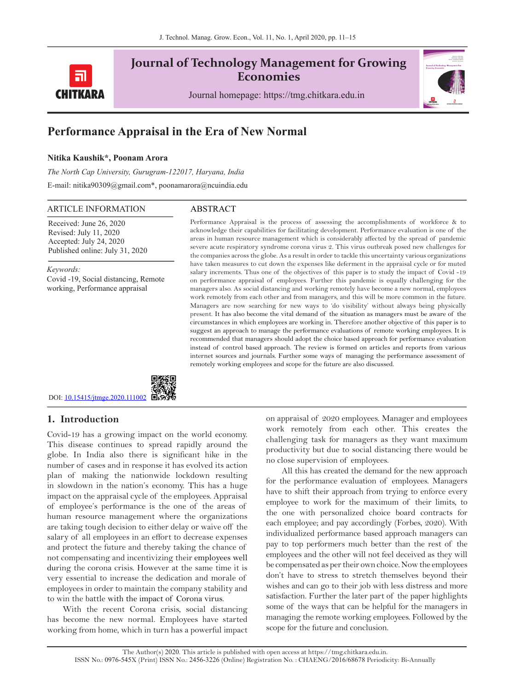

# **Journal of Technology Management for Growing Economies**

Journal homepage: https://tmg.chitkara.edu.in



# **Performance Appraisal in the Era of New Normal**

# **Nitika Kaushik\*, Poonam Arora**

*The North Cap University, Gurugram-122017, Haryana, India* E-mail: nitika90309@gmail.com\*, poonamarora@ncuindia.edu

#### ARTICLE INFORMATION ABSTRACT

Received: June 26, 2020 Revised: July 11, 2020 Accepted: July 24, 2020 Published online: July 31, 2020

*Keywords:*  Covid -19, Social distancing, Remote working, Performance appraisal

Performance Appraisal is the process of assessing the accomplishments of workforce & to acknowledge their capabilities for facilitating development. Performance evaluation is one of the areas in human resource management which is considerably affected by the spread of pandemic severe acute respiratory syndrome corona virus 2. This virus outbreak posed new challenges for the companies across the globe. As a result in order to tackle this uncertainty various organizations have taken measures to cut down the expenses like deferment in the appraisal cycle or for muted salary increments. Thus one of the objectives of this paper is to study the impact of Covid -19 on performance appraisal of employees. Further this pandemic is equally challenging for the managers also. As social distancing and working remotely have become a new normal, employees work remotely from each other and from managers, and this will be more common in the future. Managers are now searching for new ways to 'do visibility' without always being physically present. It has also become the vital demand of the situation as managers must be aware of the circumstances in which employees are working in. Therefore another objective of this paper is to suggest an approach to manage the performance evaluations of remote working employees. It is recommended that managers should adopt the choice based approach for performance evaluation instead of control based approach. The review is formed on articles and reports from various internet sources and journals. Further some ways of managing the performance assessment of remotely working employees and scope for the future are also discussed.

DOI: <u>10.15415/jtmge.2020.111002</u> and provide

# **1. Introduction**

Covid-19 has a growing impact on the world economy. This disease continues to spread rapidly around the globe. In India also there is significant hike in the number of cases and in response it has evolved its action plan of making the nationwide lockdown resulting in slowdown in the nation's economy. This has a huge impact on the appraisal cycle of the employees. Appraisal of employee's performance is the one of the areas of human resource management where the organizations are taking tough decision to either delay or waive off the salary of all employees in an effort to decrease expenses and protect the future and thereby taking the chance of not compensating and incentivizing their employees well during the corona crisis. However at the same time it is very essential to increase the dedication and morale of employees in order to maintain the company stability and to win the battle with the impact of Corona virus.

With the recent Corona crisis, social distancing has become the new normal. Employees have started working from home, which in turn has a powerful impact on appraisal of 2020 employees. Manager and employees work remotely from each other. This creates the challenging task for managers as they want maximum productivity but due to social distancing there would be no close supervision of employees.

All this has created the demand for the new approach for the performance evaluation of employees. Managers have to shift their approach from trying to enforce every employee to work for the maximum of their limits, to the one with personalized choice board contracts for each employee; and pay accordingly (Forbes, 2020). With individualized performance based approach managers can pay to top performers much better than the rest of the employees and the other will not feel deceived as they will be compensated as per their own choice. Now the employees don't have to stress to stretch themselves beyond their wishes and can go to their job with less distress and more satisfaction. Further the later part of the paper highlights some of the ways that can be helpful for the managers in managing the remote working employees. Followed by the scope for the future and conclusion.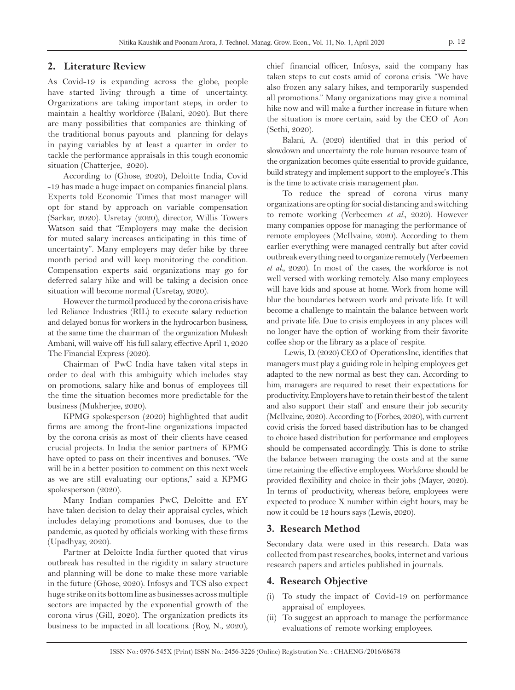## **2. Literature Review**

As Covid-19 is expanding across the globe, people have started living through a time of uncertainty. Organizations are taking important steps, in order to maintain a healthy workforce (Balani, 2020). But there are many possibilities that companies are thinking of the traditional bonus payouts and planning for delays in paying variables by at least a quarter in order to tackle the performance appraisals in this tough economic situation (Chatterjee, 2020).

According to (Ghose, 2020), Deloitte India, Covid -19 has made a huge impact on companies financial plans. Experts told Economic Times that most manager will opt for stand by approach on variable compensation (Sarkar, 2020). Usretay (2020), director, Willis Towers Watson said that "Employers may make the decision for muted salary increases anticipating in this time of uncertainty". Many employers may defer hike by three month period and will keep monitoring the condition. Compensation experts said organizations may go for deferred salary hike and will be taking a decision once situation will become normal (Usretay, 2020).

However the turmoil produced by the corona crisis have led Reliance Industries (RIL) to execute **s**alary reduction and delayed bonus for workers in the hydrocarbon business, at the same time the chairman of the organization Mukesh Ambani, will waive off his full salary, effective April 1, 2020 The Financial Express (2020).

Chairman of PwC India have taken vital steps in order to deal with this ambiguity which includes stay on promotions, salary hike and bonus of employees till the time the situation becomes more predictable for the business (Mukherjee, 2020).

KPMG spokesperson (2020) highlighted that audit firms are among the front-line organizations impacted by the corona crisis as most of their clients have ceased crucial projects. In India the senior partners of KPMG have opted to pass on their incentives and bonuses. "We will be in a better position to comment on this next week as we are still evaluating our options," said a KPMG spokesperson (2020).

Many Indian companies PwC, Deloitte and EY have taken decision to delay their appraisal cycles, which includes delaying promotions and bonuses, due to the pandemic, as quoted by officials working with these firms (Upadhyay, 2020).

Partner at Deloitte India further quoted that virus outbreak has resulted in the rigidity in salary structure and planning will be done to make these more variable in the future (Ghose, 2020). Infosys and TCS also expect huge strike on its bottom line as businesses across multiple sectors are impacted by the exponential growth of the corona virus (Gill, 2020). The organization predicts its business to be impacted in all locations. (Roy, N., 2020), chief financial officer, Infosys, said the company has taken steps to cut costs amid of corona crisis. "We have also frozen any salary hikes, and temporarily suspended all promotions." Many organizations may give a nominal hike now and will make a further increase in future when the situation is more certain, said by the CEO of Aon (Sethi, 2020).

Balani, A. (2020) identified that in this period of slowdown and uncertainty the role human resource team of the organization becomes quite essential to provide guidance, build strategy and implement support to the employee's .This is the time to activate crisis management plan.

To reduce the spread of corona virus many organizations are opting for social distancing and switching to remote working (Verbeemen *et al.,* 2020). However many companies oppose for managing the performance of remote employees (McIlvaine, 2020). According to them earlier everything were managed centrally but after covid outbreak everything need to organize remotely (Verbeemen *et al.,* 2020). In most of the cases, the workforce is not well versed with working remotely. Also many employees will have kids and spouse at home. Work from home will blur the boundaries between work and private life. It will become a challenge to maintain the balance between work and private life. Due to crisis employees in any places will no longer have the option of working from their favorite coffee shop or the library as a place of respite.

 Lewis, D. (2020) CEO of OperationsInc, identifies that managers must play a guiding role in helping employees get adapted to the new normal as best they can. According to him, managers are required to reset their expectations for productivity. Employers have to retain their best of the talent and also support their staff and ensure their job security (Mcllvaine, 2020). According to (Forbes, 2020), with current covid crisis the forced based distribution has to be changed to choice based distribution for performance and employees should be compensated accordingly. This is done to strike the balance between managing the costs and at the same time retaining the effective employees. Workforce should be provided flexibility and choice in their jobs (Mayer, 2020). In terms of productivity, whereas before, employees were expected to produce X number within eight hours, may be now it could be 12 hours says (Lewis, 2020).

### **3. Research Method**

Secondary data were used in this research. Data was collected from past researches, books, internet and various research papers and articles published in journals.

### **4. Research Objective**

- (i) To study the impact of Covid-19 on performance appraisal of employees.
- (ii) To suggest an approach to manage the performance evaluations of remote working employees.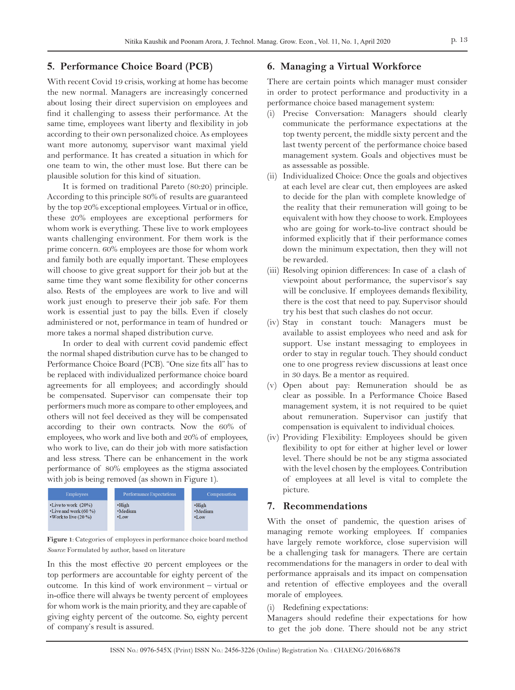# **5. Performance Choice Board (PCB)**

With recent Covid 19 crisis, working at home has become the new normal. Managers are increasingly concerned about losing their direct supervision on employees and find it challenging to assess their performance. At the same time, employees want liberty and flexibility in job according to their own personalized choice. As employees want more autonomy, supervisor want maximal yield and performance. It has created a situation in which for one team to win, the other must lose. But there can be plausible solution for this kind of situation.

It is formed on traditional Pareto (80:20) principle. According to this principle 80% of results are guaranteed by the top 20% exceptional employees. Virtual or in office, these 20% employees are exceptional performers for whom work is everything. These live to work employees wants challenging environment. For them work is the prime concern. 60% employees are those for whom work and family both are equally important. These employees will choose to give great support for their job but at the same time they want some flexibility for other concerns also. Rests of the employees are work to live and will work just enough to preserve their job safe. For them work is essential just to pay the bills. Even if closely administered or not, performance in team of hundred or more takes a normal shaped distribution curve.

In order to deal with current covid pandemic effect the normal shaped distribution curve has to be changed to Performance Choice Board (PCB). "One size fits all" has to be replaced with individualized performance choice board agreements for all employees; and accordingly should be compensated. Supervisor can compensate their top performers much more as compare to other employees, and others will not feel deceived as they will be compensated according to their own contracts. Now the 60% of employees, who work and live both and 20% of employees, who work to live, can do their job with more satisfaction and less stress. There can be enhancement in the work performance of 80% employees as the stigma associated with job is being removed (as shown in Figure 1).



**Figure 1**: Categories of employees in performance choice board method *Source:* Formulated by author, based on literature

In this the most effective 20 percent employees or the top performers are accountable for eighty percent of the outcome. In this kind of work environment – virtual or in-office there will always be twenty percent of employees for whom work is the main priority, and they are capable of giving eighty percent of the outcome. So, eighty percent of company's result is assured.

# **6. Managing a Virtual Workforce**

There are certain points which manager must consider in order to protect performance and productivity in a performance choice based management system:

- (i) Precise Conversation: Managers should clearly communicate the performance expectations at the top twenty percent, the middle sixty percent and the last twenty percent of the performance choice based management system. Goals and objectives must be as assessable as possible.
- (ii) Individualized Choice: Once the goals and objectives at each level are clear cut, then employees are asked to decide for the plan with complete knowledge of the reality that their remuneration will going to be equivalent with how they choose to work. Employees who are going for work-to-live contract should be informed explicitly that if their performance comes down the minimum expectation, then they will not be rewarded.
- (iii) Resolving opinion differences: In case of a clash of viewpoint about performance, the supervisor's say will be conclusive. If employees demands flexibility, there is the cost that need to pay. Supervisor should try his best that such clashes do not occur.
- (iv) Stay in constant touch: Managers must be available to assist employees who need and ask for support. Use instant messaging to employees in order to stay in regular touch. They should conduct one to one progress review discussions at least once in 30 days. Be a mentor as required.
- (v) Open about pay: Remuneration should be as clear as possible. In a Performance Choice Based management system, it is not required to be quiet about remuneration. Supervisor can justify that compensation is equivalent to individual choices.
- (iv) Providing Flexibility: Employees should be given flexibility to opt for either at higher level or lower level. There should be not be any stigma associated with the level chosen by the employees. Contribution of employees at all level is vital to complete the picture.

#### **7. Recommendations**

With the onset of pandemic, the question arises of managing remote working employees. If companies have largely remote workforce, close supervision will be a challenging task for managers. There are certain recommendations for the managers in order to deal with performance appraisals and its impact on compensation and retention of effective employees and the overall morale of employees.

#### (i) Redefining expectations:

Managers should redefine their expectations for how to get the job done. There should not be any strict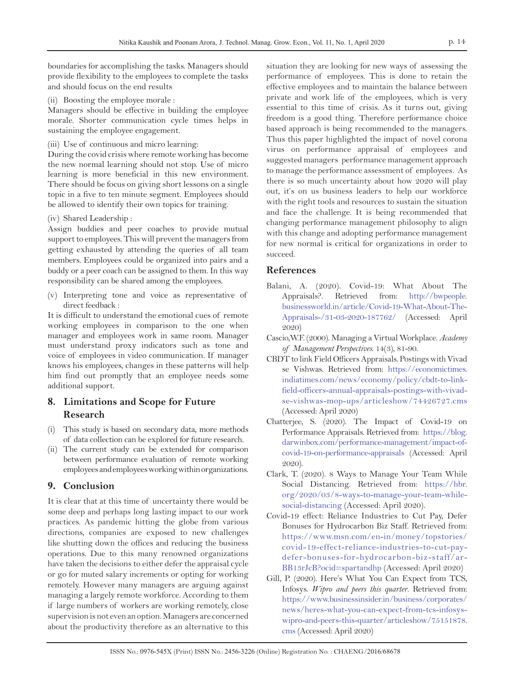boundaries for accomplishing the tasks. Managers should provide flexibility to the employees to complete the tasks and should focus on the end results

(ii) Boosting the employee morale :

Managers should be effective in building the employee morale. Shorter communication cycle times helps in sustaining the employee engagement.

(iii) Use of continuous and micro learning:

During the covid crisis where remote working has become the new normal learning should not stop. Use of micro learning is more beneficial in this new environment. There should be focus on giving short lessons on a single topic in a five to ten minute segment. Employees should be allowed to identify their own topics for training.

(iv) Shared Leadership :

Assign buddies and peer coaches to provide mutual support to employees. This will prevent the managers from getting exhausted by attending the queries of all team members. Employees could be organized into pairs and a buddy or a peer coach can be assigned to them. In this way responsibility can be shared among the employees.

(v) Interpreting tone and voice as representative of direct feedback :

It is difficult to understand the emotional cues of remote working employees in comparison to the one when manager and employees work in same room. Manager must understand proxy indicators such as tone and voice of employees in video communication. If manager knows his employees, changes in these patterns will help him find out promptly that an employee needs some additional support.

# **8. Limitations and Scope for Future Research**

- (i) This study is based on secondary data, more methods of data collection can be explored for future research.
- (ii) The current study can be extended for comparison between performance evaluation of remote working employees and employees working within organizations.

# **9. Conclusion**

It is clear that at this time of uncertainty there would be some deep and perhaps long lasting impact to our work practices. As pandemic hitting the globe from various directions, companies are exposed to new challenges like shutting down the offices and reducing the business operations. Due to this many renowned organizations have taken the decisions to either defer the appraisal cycle or go for muted salary increments or opting for working remotely. However many managers are arguing against managing a largely remote workforce. According to them if large numbers of workers are working remotely, close supervision is not even an option. Managers are concerned about the productivity therefore as an alternative to this

situation they are looking for new ways of assessing the performance of employees. This is done to retain the effective employees and to maintain the balance between private and work life of the employees, which is very essential to this time of crisis. As it turns out, giving freedom is a good thing. Therefore performance choice based approach is being recommended to the managers. Thus this paper highlighted the impact of novel corona virus on performance appraisal of employees and suggested managers performance management approach to manage the performance assessment of employees*.* As there is so much uncertainty about how 2020 will play out, it's on us business leaders to help our workforce with the right tools and resources to sustain the situation and face the challenge. It is being recommended that changing performance management philosophy to align with this change and adopting performance management for new normal is critical for organizations in order to succeed.

# **References**

- Balani, A. (2020). Covid-19: What About The Appraisals?. Retrieved from: http://bwpeople. businessworld.in/article/Covid-19-What-About-The-Appraisals-/31-03-2020-187762/ (Accessed: April 2020)
- Cascio,W.F. (2000). Managing a Virtual Workplace. *Academy of Management Perspectives*. 14(3), 81-90.
- CBDT to link Field Officers Appraisals. Postings with Vivad se Vishwas. Retrieved from: https://economictimes. indiatimes.com/news/economy/policy/cbdt-to-linkfield-officers-annual-appraisals-postings-with-vivadse-vishwas-mop-ups/articleshow/74426727.cms (Accessed: April 2020)
- Chatterjee, S. (2020). The Impact of Covid-19 on Performance Appraisals. Retrieved from: https://blog. darwinbox.com/performance-management/impact-ofcovid-19-on-performance-appraisals (Accessed: April 2020).
- Clark, T. (2020). 8 Ways to Manage Your Team While Social Distancing. Retrieved from: https://hbr. org/2020/03/8-ways-to-manage-your-team-whilesocial-distancing (Accessed: April 2020).
- Covid-19 effect: Reliance Industries to Cut Pay, Defer Bonuses for Hydrocarbon Biz Staff. Retrieved from: https://www.msn.com/en-in/money/topstories/ covid-19-effect-reliance-industries-to-cut-paydefer-bonuses-for-hydrocarbon-biz-staff/ar-BB13rJcB?ocid=spartandhp (Accessed: April 2020)
- Gill, P. (2020). Here's What You Can Expect from TCS, Infosys. *Wipro and peers this quarter*. Retrieved from: https://www.businessinsider.in/business/corporates/ news/heres-what-you-can-expect-from-tcs-infosyswipro-and-peers-this-quarter/articleshow/75151878. cms (Accessed: April 2020)